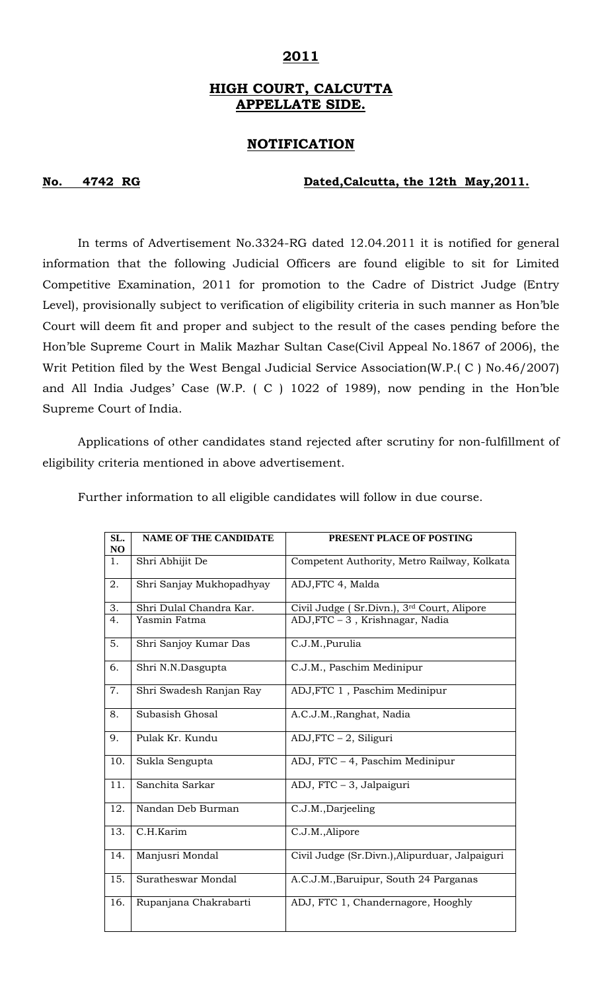## **2011**

# **HIGH COURT, CALCUTTA APPELLATE SIDE.**

### **NOTIFICATION**

### **No. 4742 RG Dated,Calcutta, the 12th May,2011.**

In terms of Advertisement No.3324-RG dated 12.04.2011 it is notified for general information that the following Judicial Officers are found eligible to sit for Limited Competitive Examination, 2011 for promotion to the Cadre of District Judge (Entry Level), provisionally subject to verification of eligibility criteria in such manner as Hon'ble Court will deem fit and proper and subject to the result of the cases pending before the Hon'ble Supreme Court in Malik Mazhar Sultan Case(Civil Appeal No.1867 of 2006), the Writ Petition filed by the West Bengal Judicial Service Association(W.P.( C ) No.46/2007) and All India Judges' Case (W.P. ( C ) 1022 of 1989), now pending in the Hon'ble Supreme Court of India.

 Applications of other candidates stand rejected after scrutiny for non-fulfillment of eligibility criteria mentioned in above advertisement.

| SL.<br>NO | <b>NAME OF THE CANDIDATE</b> | PRESENT PLACE OF POSTING                       |
|-----------|------------------------------|------------------------------------------------|
| 1.        | Shri Abhijit De              | Competent Authority, Metro Railway, Kolkata    |
| 2.        | Shri Sanjay Mukhopadhyay     | ADJ, FTC 4, Malda                              |
| 3.        | Shri Dulal Chandra Kar.      | Civil Judge (Sr.Divn.), 3rd Court, Alipore     |
| 4.        | Yasmin Fatma                 | ADJ, FTC - 3, Krishnagar, Nadia                |
| 5.        | Shri Sanjoy Kumar Das        | C.J.M., Purulia                                |
| 6.        | Shri N.N.Dasgupta            | C.J.M., Paschim Medinipur                      |
| 7.        | Shri Swadesh Ranjan Ray      | ADJ, FTC 1, Paschim Medinipur                  |
| 8.        | Subasish Ghosal              | A.C.J.M., Ranghat, Nadia                       |
| 9.        | Pulak Kr. Kundu              | $ADJ, FTC - 2,$ Siliguri                       |
| 10.       | Sukla Sengupta               | ADJ, FTC - 4, Paschim Medinipur                |
| 11.       | Sanchita Sarkar              | ADJ, FTC - 3, Jalpaiguri                       |
| 12.       | Nandan Deb Burman            | C.J.M., Darjeeling                             |
| 13.       | C.H.Karim                    | C.J.M., Alipore                                |
| 14.       | Manjusri Mondal              | Civil Judge (Sr.Divn.), Alipurduar, Jalpaiguri |
| 15.       | Suratheswar Mondal           | A.C.J.M., Baruipur, South 24 Parganas          |
| 16.       | Rupanjana Chakrabarti        | ADJ, FTC 1, Chandernagore, Hooghly             |

Further information to all eligible candidates will follow in due course.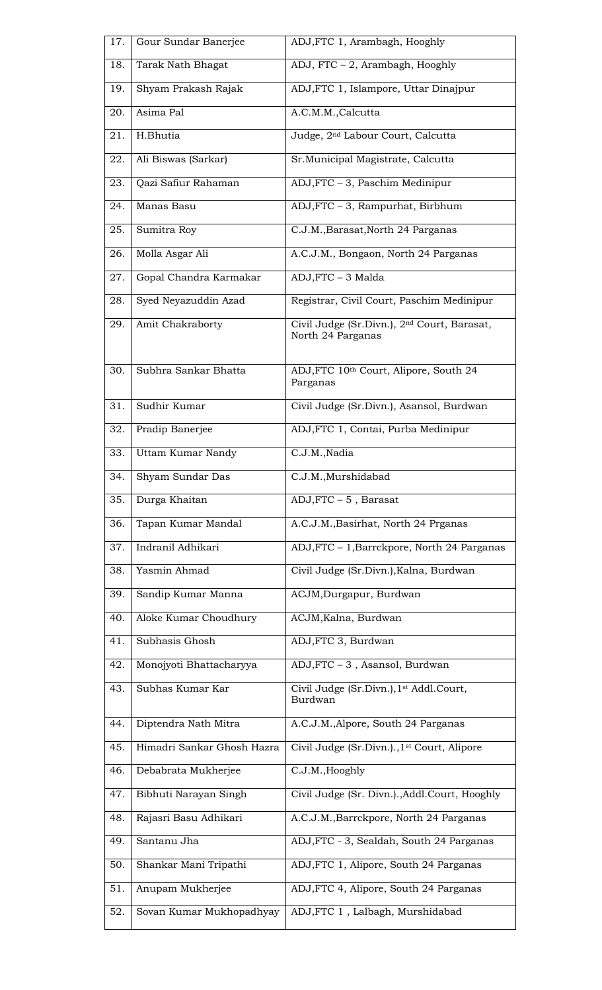| 17. | Gour Sundar Banerjee       | ADJ, FTC 1, Arambagh, Hooghly                                                |
|-----|----------------------------|------------------------------------------------------------------------------|
| 18. | Tarak Nath Bhagat          | ADJ, FTC - 2, Arambagh, Hooghly                                              |
| 19. | Shyam Prakash Rajak        | ADJ, FTC 1, Islampore, Uttar Dinajpur                                        |
| 20. | Asima Pal                  | A.C.M.M., Calcutta                                                           |
| 21. | H.Bhutia                   | Judge, 2 <sup>nd</sup> Labour Court, Calcutta                                |
| 22. | Ali Biswas (Sarkar)        | Sr. Municipal Magistrate, Calcutta                                           |
| 23. | Qazi Safiur Rahaman        | ADJ, FTC - 3, Paschim Medinipur                                              |
| 24. | Manas Basu                 | ADJ, FTC - 3, Rampurhat, Birbhum                                             |
| 25. | Sumitra Roy                | C.J.M., Barasat, North 24 Parganas                                           |
| 26. | Molla Asgar Ali            | A.C.J.M., Bongaon, North 24 Parganas                                         |
| 27. | Gopal Chandra Karmakar     | ADJ, FTC - 3 Malda                                                           |
| 28. | Syed Neyazuddin Azad       | Registrar, Civil Court, Paschim Medinipur                                    |
| 29. | Amit Chakraborty           | Civil Judge (Sr.Divn.), 2 <sup>nd</sup> Court, Barasat,<br>North 24 Parganas |
| 30. | Subhra Sankar Bhatta       | ADJ, FTC 10th Court, Alipore, South 24<br>Parganas                           |
| 31. | Sudhir Kumar               | Civil Judge (Sr.Divn.), Asansol, Burdwan                                     |
| 32. | Pradip Banerjee            | ADJ, FTC 1, Contai, Purba Medinipur                                          |
| 33. | <b>Uttam Kumar Nandy</b>   | C.J.M., Nadia                                                                |
| 34. | Shyam Sundar Das           | C.J.M., Murshidabad                                                          |
| 35. | Durga Khaitan              | $ADJ, FTC - 5$ , Barasat                                                     |
| 36. | Tapan Kumar Mandal         | A.C.J.M., Basirhat, North 24 Prganas                                         |
| 37. | Indranil Adhikari          | ADJ, FTC - 1, Barrckpore, North 24 Parganas                                  |
| 38. | Yasmin Ahmad               | Civil Judge (Sr.Divn.), Kalna, Burdwan                                       |
| 39. | Sandip Kumar Manna         | ACJM, Durgapur, Burdwan                                                      |
| 40. | Aloke Kumar Choudhury      | ACJM, Kalna, Burdwan                                                         |
| 41. | Subhasis Ghosh             | ADJ, FTC 3, Burdwan                                                          |
| 42. | Monojyoti Bhattacharyya    | ADJ, FTC - 3, Asansol, Burdwan                                               |
| 43. | Subhas Kumar Kar           | Civil Judge (Sr.Divn.), 1st Addl.Court,<br>Burdwan                           |
| 44. | Diptendra Nath Mitra       | A.C.J.M., Alpore, South 24 Parganas                                          |
| 45. | Himadri Sankar Ghosh Hazra | Civil Judge (Sr.Divn.)., 1 <sup>st</sup> Court, Alipore                      |
| 46. | Debabrata Mukherjee        | C.J.M., Hooghly                                                              |
| 47. | Bibhuti Narayan Singh      | Civil Judge (Sr. Divn.)., Addl. Court, Hooghly                               |
| 48. | Rajasri Basu Adhikari      | A.C.J.M., Barrckpore, North 24 Parganas                                      |
| 49. | Santanu Jha                | ADJ, FTC - 3, Sealdah, South 24 Parganas                                     |
| 50. | Shankar Mani Tripathi      | ADJ, FTC 1, Alipore, South 24 Parganas                                       |
| 51. | Anupam Mukherjee           | ADJ, FTC 4, Alipore, South 24 Parganas                                       |
| 52. | Sovan Kumar Mukhopadhyay   | ADJ, FTC 1, Lalbagh, Murshidabad                                             |